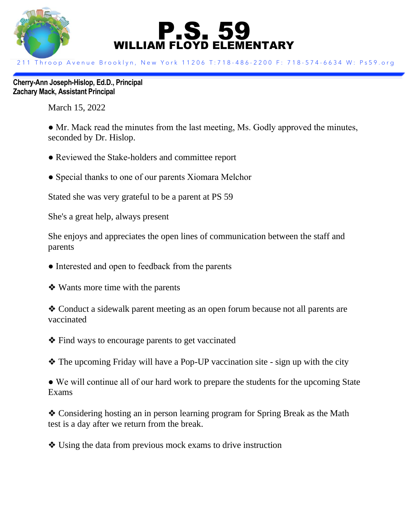

## P.S. 59 WILLIAM FLOYD ELEMENTARY

211 Throop Avenue Brooklyn, New York 11206 T:718-486-2200 F: 718-574-6634 W: Ps59.org

**Cherry-Ann Joseph-Hislop, Ed.D., Principal Zachary Mack, Assistant Principal**

March 15, 2022

• Mr. Mack read the minutes from the last meeting, Ms. Godly approved the minutes, seconded by Dr. Hislop.

- Reviewed the Stake-holders and committee report
- Special thanks to one of our parents Xiomara Melchor

Stated she was very grateful to be a parent at PS 59

She's a great help, always present

She enjoys and appreciates the open lines of communication between the staff and parents

- Interested and open to feedback from the parents
- ❖ Wants more time with the parents

❖ Conduct a sidewalk parent meeting as an open forum because not all parents are vaccinated

❖ Find ways to encourage parents to get vaccinated

❖ The upcoming Friday will have a Pop-UP vaccination site - sign up with the city

• We will continue all of our hard work to prepare the students for the upcoming State Exams

❖ Considering hosting an in person learning program for Spring Break as the Math test is a day after we return from the break.

❖ Using the data from previous mock exams to drive instruction